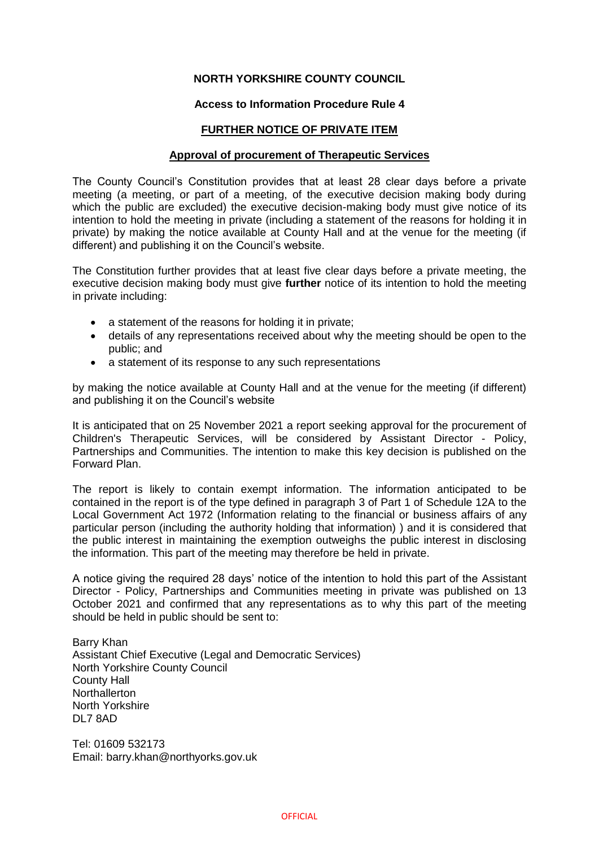# **NORTH YORKSHIRE COUNTY COUNCIL**

### **Access to Information Procedure Rule 4**

## **FURTHER NOTICE OF PRIVATE ITEM**

#### **Approval of procurement of Therapeutic Services**

The County Council's Constitution provides that at least 28 clear days before a private meeting (a meeting, or part of a meeting, of the executive decision making body during which the public are excluded) the executive decision-making body must give notice of its intention to hold the meeting in private (including a statement of the reasons for holding it in private) by making the notice available at County Hall and at the venue for the meeting (if different) and publishing it on the Council's website.

The Constitution further provides that at least five clear days before a private meeting, the executive decision making body must give **further** notice of its intention to hold the meeting in private including:

- a statement of the reasons for holding it in private;
- details of any representations received about why the meeting should be open to the public; and
- a statement of its response to any such representations

by making the notice available at County Hall and at the venue for the meeting (if different) and publishing it on the Council's website

It is anticipated that on 25 November 2021 a report seeking approval for the procurement of Children's Therapeutic Services, will be considered by Assistant Director - Policy, Partnerships and Communities. The intention to make this key decision is published on the Forward Plan.

The report is likely to contain exempt information. The information anticipated to be contained in the report is of the type defined in paragraph 3 of Part 1 of Schedule 12A to the Local Government Act 1972 (Information relating to the financial or business affairs of any particular person (including the authority holding that information) ) and it is considered that the public interest in maintaining the exemption outweighs the public interest in disclosing the information. This part of the meeting may therefore be held in private.

A notice giving the required 28 days' notice of the intention to hold this part of the Assistant Director - Policy, Partnerships and Communities meeting in private was published on 13 October 2021 and confirmed that any representations as to why this part of the meeting should be held in public should be sent to:

Barry Khan Assistant Chief Executive (Legal and Democratic Services) North Yorkshire County Council County Hall **Northallerton** North Yorkshire DL7 8AD

Tel: 01609 532173 Email: barry.khan@northyorks.gov.uk